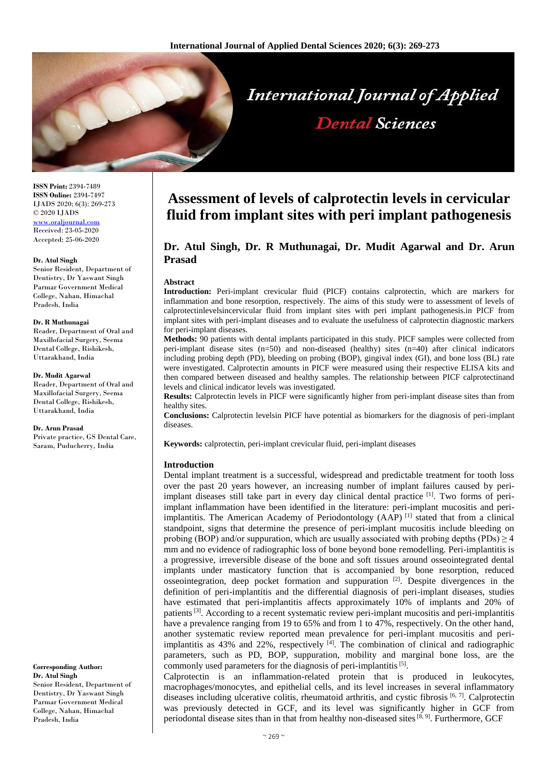

**ISSN Print:** 2394-7489 **ISSN Online:** 2394-7497 IJADS 2020; 6(3): 269-273 © 2020 IJADS [www.oraljournal.com](http://www.oraljournal.com/) Received: 23-05-2020 Accepted: 25-06-2020

#### **Dr. Atul Singh**

Senior Resident, Department of Dentistry, Dr Yaswant Singh Parmar Government Medical College, Nahan, Himachal Pradesh, India

#### **Dr. R Muthunagai**

Reader, Department of Oral and Maxillofacial Surgery, Seema Dental College, Rishikesh, Uttarakhand, India

#### **Dr. Mudit Agarwal**

Reader, Department of Oral and Maxillofacial Surgery, Seema Dental College, Rishikesh, Uttarakhand, India

#### **Dr. Arun Prasad**

Private practice, GS Dental Care, Saram, Puducherry, India

**Corresponding Author: Dr. Atul Singh** Senior Resident, Department of Dentistry, Dr Yaswant Singh Parmar Government Medical College, Nahan, Himachal Pradesh, India

# **Assessment of levels of calprotectin levels in cervicular fluid from implant sites with peri implant pathogenesis**

# **Dr. Atul Singh, Dr. R Muthunagai, Dr. Mudit Agarwal and Dr. Arun Prasad**

#### **Abstract**

**Introduction:** Peri-implant crevicular fluid (PICF) contains calprotectin, which are markers for inflammation and bone resorption, respectively. The aims of this study were to assessment of levels of calprotectinlevelsincervicular fluid from implant sites with peri implant pathogenesis.in PICF from implant sites with peri-implant diseases and to evaluate the usefulness of calprotectin diagnostic markers for peri-implant diseases.

**Methods:** 90 patients with dental implants participated in this study. PICF samples were collected from peri-implant disease sites  $(n=50)$  and non-diseased (healthy) sites  $(n=40)$  after clinical indicators including probing depth (PD), bleeding on probing (BOP), gingival index (GI), and bone loss (BL) rate were investigated. Calprotectin amounts in PICF were measured using their respective ELISA kits and then compared between diseased and healthy samples. The relationship between PICF calprotectinand levels and clinical indicator levels was investigated.

**Results:** Calprotectin levels in PICF were significantly higher from peri-implant disease sites than from healthy sites.

**Conclusions:** Calprotectin levelsin PICF have potential as biomarkers for the diagnosis of peri-implant diseases.

**Keywords:** calprotectin, peri-implant crevicular fluid, peri-implant diseases

#### **Introduction**

Dental implant treatment is a successful, widespread and predictable treatment for tooth loss over the past 20 years however, an increasing number of implant failures caused by periimplant diseases still take part in every day clinical dental practice  $^{[1]}$ . Two forms of periimplant inflammation have been identified in the literature: peri-implant mucositis and periimplantitis. The American Academy of Periodontology  $(AAP)^{[1]}$  stated that from a clinical standpoint, signs that determine the presence of peri-implant mucositis include bleeding on probing (BOP) and/or suppuration, which are usually associated with probing depths (PDs)  $\geq$  4 mm and no evidence of radiographic loss of bone beyond bone remodelling. Peri-implantitis is a progressive, irreversible disease of the bone and soft tissues around osseointegrated dental implants under masticatory function that is accompanied by bone resorption, reduced osseointegration, deep pocket formation and suppuration  $[2]$ . Despite divergences in the definition of peri-implantitis and the differential diagnosis of peri-implant diseases, studies have estimated that peri-implantitis affects approximately 10% of implants and 20% of patients<sup>[3]</sup>. According to a recent systematic review peri-implant mucositis and peri-implantitis have a prevalence ranging from 19 to 65% and from 1 to 47%, respectively. On the other hand, another systematic review reported mean prevalence for peri-implant mucositis and periimplantitis as  $43\%$  and  $22\%$ , respectively  $[4]$ . The combination of clinical and radiographic parameters, such as PD, BOP, suppuration, mobility and marginal bone loss, are the commonly used parameters for the diagnosis of peri-implantitis<sup>[5]</sup>.

Calprotectin is an inflammation-related protein that is produced in leukocytes, macrophages/monocytes, and epithelial cells, and its level increases in several inflammatory diseases including ulcerative colitis, rheumatoid arthritis, and cystic fibrosis [6, 7]. Calprotectin was previously detected in GCF, and its level was significantly higher in GCF from periodontal disease sites than in that from healthy non-diseased sites  $[8, 9]$ . Furthermore, GCF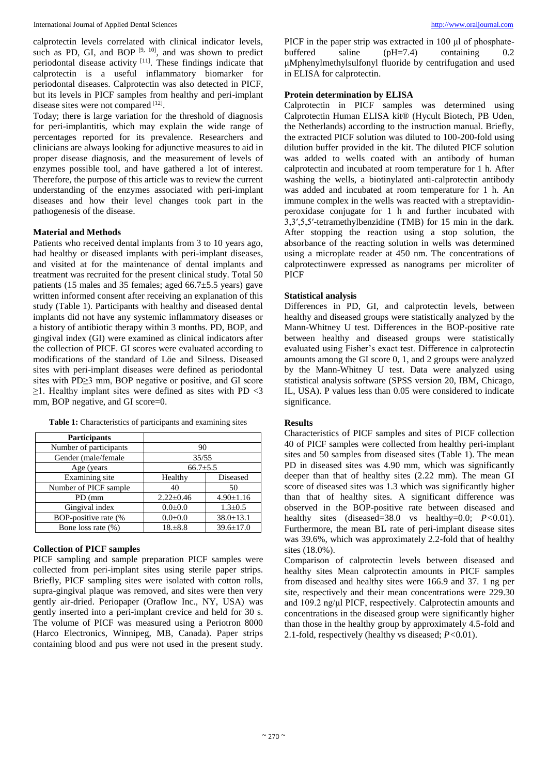calprotectin levels correlated with clinical indicator levels, such as PD, GI, and BOP  $[9, 10]$ , and was shown to predict periodontal disease activity [11]. These findings indicate that calprotectin is a useful inflammatory biomarker for periodontal diseases. Calprotectin was also detected in PICF, but its levels in PICF samples from healthy and peri-implant disease sites were not compared [12].

Today; there is large variation for the threshold of diagnosis for peri-implantitis, which may explain the wide range of percentages reported for its prevalence. Researchers and clinicians are always looking for adjunctive measures to aid in proper disease diagnosis, and the measurement of levels of enzymes possible tool, and have gathered a lot of interest. Therefore, the purpose of this article was to review the current understanding of the enzymes associated with peri-implant diseases and how their level changes took part in the pathogenesis of the disease.

## **Material and Methods**

Patients who received dental implants from 3 to 10 years ago, had healthy or diseased implants with peri-implant diseases, and visited at for the maintenance of dental implants and treatment was recruited for the present clinical study. Total 50 patients (15 males and 35 females; aged 66.7±5.5 years) gave written informed consent after receiving an explanation of this study (Table 1). Participants with healthy and diseased dental implants did not have any systemic inflammatory diseases or a history of antibiotic therapy within 3 months. PD, BOP, and gingival index (GI) were examined as clinical indicators after the collection of PICF. GI scores were evaluated according to modifications of the standard of Löe and Silness. Diseased sites with peri-implant diseases were defined as periodontal sites with PD≥3 mm, BOP negative or positive, and GI score  $\geq$ 1. Healthy implant sites were defined as sites with PD <3 mm, BOP negative, and GI score=0.

| <b>Table 1:</b> Characteristics of participants and examining sites |                 |                 |
|---------------------------------------------------------------------|-----------------|-----------------|
| <b>Participants</b>                                                 |                 |                 |
| Number of participants                                              | 90              |                 |
| Gender (male/female                                                 | 35/55           |                 |
| Age (years)                                                         | $66.7{\pm}5.5$  |                 |
| Examining site                                                      | Healthy         | Diseased        |
| Number of PICF sample                                               | 40              | 50              |
| PD (mm                                                              | $2.22 \pm 0.46$ | $4.90 \pm 1.16$ |
| Gingival index                                                      | $0.0 + 0.0$     | $1.3 \pm 0.5$   |
| BOP-positive rate (%                                                | $0.0 + 0.0$     | $38.0 \pm 13.1$ |

Bone loss rate  $(\% )$  18. $\pm 8.8$  39.6 $\pm 17.0$ 

**Table 1:** Characteristics of participants and examining sites

## **Collection of PICF samples**

PICF sampling and sample preparation PICF samples were collected from peri-implant sites using sterile paper strips. Briefly, PICF sampling sites were isolated with cotton rolls, supra-gingival plaque was removed, and sites were then very gently air-dried. Periopaper (Oraflow Inc., NY, USA) was gently inserted into a peri-implant crevice and held for 30 s. The volume of PICF was measured using a Periotron 8000 (Harco Electronics, Winnipeg, MB, Canada). Paper strips containing blood and pus were not used in the present study. PICF in the paper strip was extracted in 100 μl of phosphatebuffered saline (pH=7.4) containing 0.2 μMphenylmethylsulfonyl fluoride by centrifugation and used in ELISA for calprotectin.

## **Protein determination by ELISA**

Calprotectin in PICF samples was determined using Calprotectin Human ELISA kit® (Hycult Biotech, PB Uden, the Netherlands) according to the instruction manual. Briefly, the extracted PICF solution was diluted to 100-200-fold using dilution buffer provided in the kit. The diluted PICF solution was added to wells coated with an antibody of human calprotectin and incubated at room temperature for 1 h. After washing the wells, a biotinylated anti-calprotectin antibody was added and incubated at room temperature for 1 h. An immune complex in the wells was reacted with a streptavidinperoxidase conjugate for 1 h and further incubated with 3,3′,5,5′-tetramethylbenzidine (TMB) for 15 min in the dark. After stopping the reaction using a stop solution, the absorbance of the reacting solution in wells was determined using a microplate reader at 450 nm. The concentrations of calprotectinwere expressed as nanograms per microliter of PICF

## **Statistical analysis**

Differences in PD, GI, and calprotectin levels, between healthy and diseased groups were statistically analyzed by the Mann-Whitney U test. Differences in the BOP-positive rate between healthy and diseased groups were statistically evaluated using Fisher's exact test. Difference in calprotectin amounts among the GI score 0, 1, and 2 groups were analyzed by the Mann-Whitney U test. Data were analyzed using statistical analysis software (SPSS version 20, IBM, Chicago, IL, USA). P values less than 0.05 were considered to indicate significance.

## **Results**

Characteristics of PICF samples and sites of PICF collection 40 of PICF samples were collected from healthy peri-implant sites and 50 samples from diseased sites (Table 1). The mean PD in diseased sites was 4.90 mm, which was significantly deeper than that of healthy sites (2.22 mm). The mean GI score of diseased sites was 1.3 which was significantly higher than that of healthy sites. A significant difference was observed in the BOP-positive rate between diseased and healthy sites (diseased=38.0 vs healthy=0.0; *P<*0.01). Furthermore, the mean BL rate of peri-implant disease sites was 39.6%, which was approximately 2.2-fold that of healthy sites (18.0%).

Comparison of calprotectin levels between diseased and healthy sites Mean calprotectin amounts in PICF samples from diseased and healthy sites were 166.9 and 37. 1 ng per site, respectively and their mean concentrations were 229.30 and 109.2 ng/μl PICF, respectively. Calprotectin amounts and concentrations in the diseased group were significantly higher than those in the healthy group by approximately 4.5-fold and 2.1-fold, respectively (healthy vs diseased; *P<*0.01).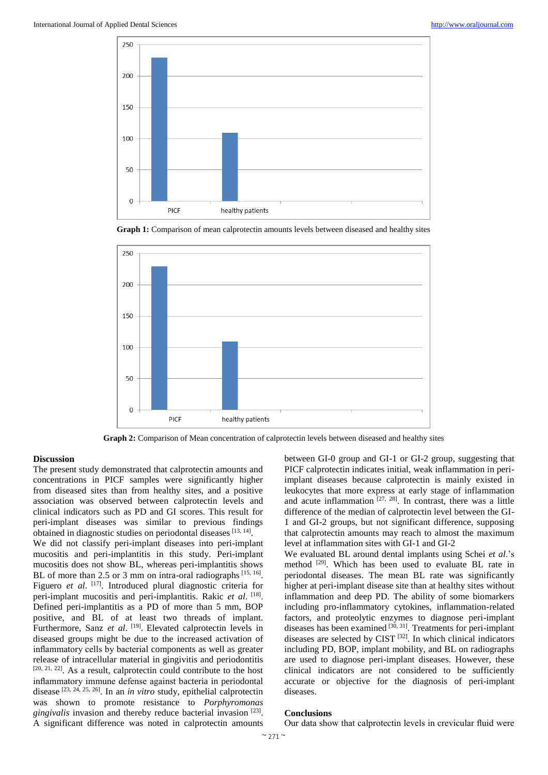

**Graph 1:** Comparison of mean calprotectin amounts levels between diseased and healthy sites



**Graph 2:** Comparison of Mean concentration of calprotectin levels between diseased and healthy sites

## **Discussion**

The present study demonstrated that calprotectin amounts and concentrations in PICF samples were significantly higher from diseased sites than from healthy sites, and a positive association was observed between calprotectin levels and clinical indicators such as PD and GI scores. This result for peri-implant diseases was similar to previous findings obtained in diagnostic studies on periodontal diseases [13, 14].

We did not classify peri-implant diseases into peri-implant mucositis and peri-implantitis in this study. Peri-implant mucositis does not show BL, whereas peri-implantitis shows BL of more than 2.5 or 3 mm on intra-oral radiographs  $[15, 16]$ . Figuero *et al.* [17]. Introduced plural diagnostic criteria for peri-implant mucositis and peri-implantitis. Rakic et al. [18]. Defined peri-implantitis as a PD of more than 5 mm, BOP positive, and BL of at least two threads of implant. Furthermore, Sanz et al. <sup>[19]</sup>. Elevated calprotectin levels in diseased groups might be due to the increased activation of inflammatory cells by bacterial components as well as greater release of intracellular material in gingivitis and periodontitis  $[20, 21, 22]$ . As a result, calprotectin could contribute to the host inflammatory immune defense against bacteria in periodontal disease [23, 24, 25, 26] . In an *in vitro* study, epithelial calprotectin was shown to promote resistance to *Porphyromonas* gingivalis invasion and thereby reduce bacterial invasion<sup>[23]</sup>. A significant difference was noted in calprotectin amounts

between GI-0 group and GI-1 or GI-2 group, suggesting that PICF calprotectin indicates initial, weak inflammation in periimplant diseases because calprotectin is mainly existed in leukocytes that more express at early stage of inflammation and acute inflammation  $[27, 28]$ . In contrast, there was a little difference of the median of calprotectin level between the GI-1 and GI-2 groups, but not significant difference, supposing that calprotectin amounts may reach to almost the maximum level at inflammation sites with GI-1 and GI-2

We evaluated BL around dental implants using Schei *et al*.'s method <sup>[29]</sup>. Which has been used to evaluate BL rate in periodontal diseases. The mean BL rate was significantly higher at peri-implant disease site than at healthy sites without inflammation and deep PD. The ability of some biomarkers including pro-inflammatory cytokines, inflammation-related factors, and proteolytic enzymes to diagnose peri-implant diseases has been examined [30, 31]. Treatments for peri-implant diseases are selected by CIST  $[32]$ . In which clinical indicators including PD, BOP, implant mobility, and BL on radiographs are used to diagnose peri-implant diseases. However, these clinical indicators are not considered to be sufficiently accurate or objective for the diagnosis of peri-implant diseases.

#### **Conclusions**

Our data show that calprotectin levels in crevicular fluid were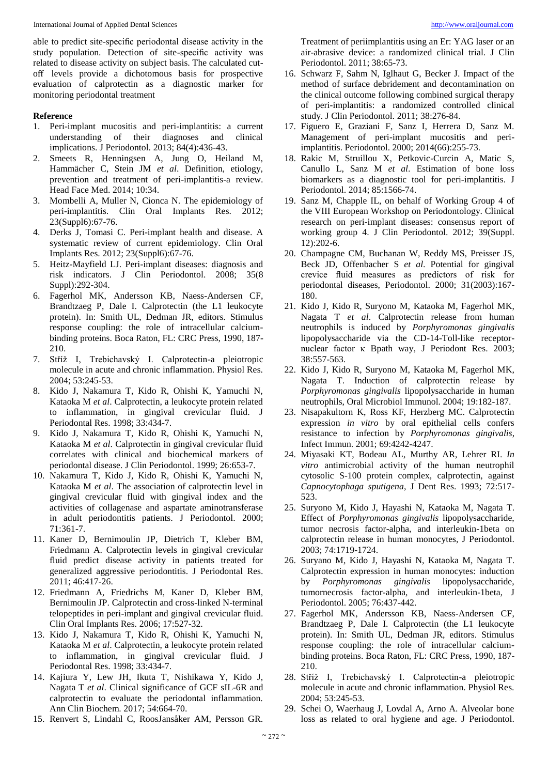able to predict site-specific periodontal disease activity in the study population. Detection of site-specific activity was related to disease activity on subject basis. The calculated cutoff levels provide a dichotomous basis for prospective evaluation of calprotectin as a diagnostic marker for monitoring periodontal treatment

## **Reference**

- 1. Peri-implant mucositis and peri-implantitis: a current understanding of their diagnoses and clinical implications. J Periodontol. 2013; 84(4):436-43.
- 2. Smeets R, Henningsen A, Jung O, Heiland M, Hammächer C, Stein JM *et al*. Definition, etiology, prevention and treatment of peri-implantitis-a review. Head Face Med. 2014; 10:34.
- 3. Mombelli A, Muller N, Cionca N. The epidemiology of peri-implantitis. Clin Oral Implants Res. 2012; 23(Suppl6):67-76.
- 4. Derks J, Tomasi C. Peri-implant health and disease. A systematic review of current epidemiology. Clin Oral Implants Res. 2012; 23(Suppl6):67-76.
- 5. Heitz-Mayfield LJ. Peri-implant diseases: diagnosis and risk indicators. J Clin Periodontol. 2008; 35(8 Suppl):292-304.
- 6. Fagerhol MK, Andersson KB, Naess-Andersen CF, Brandtzaeg P, Dale I. Calprotectin (the L1 leukocyte protein). In: Smith UL, Dedman JR, editors. Stimulus response coupling: the role of intracellular calciumbinding proteins. Boca Raton, FL: CRC Press, 1990, 187- 210.
- 7. Stříž I, Trebichavský I. Calprotectin-a pleiotropic molecule in acute and chronic inflammation. Physiol Res. 2004; 53:245-53.
- 8. Kido J, Nakamura T, Kido R, Ohishi K, Yamuchi N, Kataoka M *et al*. Calprotectin, a leukocyte protein related to inflammation, in gingival crevicular fluid. J Periodontal Res. 1998; 33:434-7.
- 9. Kido J, Nakamura T, Kido R, Ohishi K, Yamuchi N, Kataoka M *et al*. Calprotectin in gingival crevicular fluid correlates with clinical and biochemical markers of periodontal disease. J Clin Periodontol. 1999; 26:653-7.
- 10. Nakamura T, Kido J, Kido R, Ohishi K, Yamuchi N, Kataoka M *et al*. The association of calprotectin level in gingival crevicular fluid with gingival index and the activities of collagenase and aspartate aminotransferase in adult periodontitis patients. J Periodontol. 2000; 71:361-7.
- 11. Kaner D, Bernimoulin JP, Dietrich T, Kleber BM, Friedmann A. Calprotectin levels in gingival crevicular fluid predict disease activity in patients treated for generalized aggressive periodontitis. J Periodontal Res. 2011; 46:417-26.
- 12. Friedmann A, Friedrichs M, Kaner D, Kleber BM, Bernimoulin JP. Calprotectin and cross-linked N-terminal telopeptides in peri-implant and gingival crevicular fluid. Clin Oral Implants Res. 2006; 17:527-32.
- 13. Kido J, Nakamura T, Kido R, Ohishi K, Yamuchi N, Kataoka M *et al*. Calprotectin, a leukocyte protein related to inflammation, in gingival crevicular fluid. J Periodontal Res. 1998; 33:434-7.
- 14. Kajiura Y, Lew JH, Ikuta T, Nishikawa Y, Kido J, Nagata T *et al*. Clinical significance of GCF sIL-6R and calprotectin to evaluate the periodontal inflammation. Ann Clin Biochem. 2017; 54:664-70.
- 15. Renvert S, Lindahl C, RoosJansåker AM, Persson GR.

Treatment of periimplantitis using an Er: YAG laser or an air-abrasive device: a randomized clinical trial. J Clin Periodontol. 2011; 38:65-73.

- 16. Schwarz F, Sahm N, Iglhaut G, Becker J. Impact of the method of surface debridement and decontamination on the clinical outcome following combined surgical therapy of peri-implantitis: a randomized controlled clinical study. J Clin Periodontol. 2011; 38:276-84.
- 17. Figuero E, Graziani F, Sanz I, Herrera D, Sanz M. Management of peri-implant mucositis and periimplantitis. Periodontol. 2000; 2014(66):255-73.
- 18. Rakic M, Struillou X, Petkovic-Curcin A, Matic S, Canullo L, Sanz M *et al*. Estimation of bone loss biomarkers as a diagnostic tool for peri-implantitis. J Periodontol. 2014; 85:1566-74.
- 19. Sanz M, Chapple IL, on behalf of Working Group 4 of the VIII European Workshop on Periodontology. Clinical research on peri-implant diseases: consensus report of working group 4. J Clin Periodontol. 2012; 39(Suppl. 12):202-6.
- 20. Champagne CM, Buchanan W, Reddy MS, Preisser JS, Beck JD, Offenbacher S *et al*. Potential for gingival crevice fluid measures as predictors of risk for periodontal diseases, Periodontol. 2000; 31(2003):167- 180.
- 21. Kido J, Kido R, Suryono M, Kataoka M, Fagerhol MK, Nagata T *et al*. Calprotectin release from human neutrophils is induced by *Porphyromonas gingivalis* lipopolysaccharide via the CD-14-Toll-like receptornuclear factor κ Bpath way, J Periodont Res. 2003; 38:557-563.
- 22. Kido J, Kido R, Suryono M, Kataoka M, Fagerhol MK, Nagata T. Induction of calprotectin release by *Porphyromonas gingivalis* lipopolysaccharide in human neutrophils, Oral Microbiol Immunol. 2004; 19:182-187.
- 23. Nisapakultorn K, Ross KF, Herzberg MC. Calprotectin expression *in vitro* by oral epithelial cells confers resistance to infection by *Porphyromonas gingivalis*, Infect Immun. 2001; 69:4242-4247.
- 24. Miyasaki KT, Bodeau AL, Murthy AR, Lehrer RI. *In vitro* antimicrobial activity of the human neutrophil cytosolic S-100 protein complex, calprotectin, against *Capnocytophaga sputigena*, J Dent Res. 1993; 72:517- 523.
- 25. Suryono M, Kido J, Hayashi N, Kataoka M, Nagata T. Effect of *Porphyromonas gingivalis* lipopolysaccharide, tumor necrosis factor-alpha, and interleukin-1beta on calprotectin release in human monocytes, J Periodontol. 2003; 74:1719-1724.
- 26. Suryano M, Kido J, Hayashi N, Kataoka M, Nagata T. Calprotectin expression in human monocytes: induction by *Porphyromonas gingivalis* lipopolysaccharide, tumornecrosis factor-alpha, and interleukin-1beta, J Periodontol. 2005; 76:437-442.
- 27. Fagerhol MK, Andersson KB, Naess-Andersen CF, Brandtzaeg P, Dale I. Calprotectin (the L1 leukocyte protein). In: Smith UL, Dedman JR, editors. Stimulus response coupling: the role of intracellular calciumbinding proteins. Boca Raton, FL: CRC Press, 1990, 187- 210.
- 28. Stříž I, Trebichavský I. Calprotectin-a pleiotropic molecule in acute and chronic inflammation. Physiol Res. 2004; 53:245-53.
- 29. Schei O, Waerhaug J, Lovdal A, Arno A. Alveolar bone loss as related to oral hygiene and age. J Periodontol.